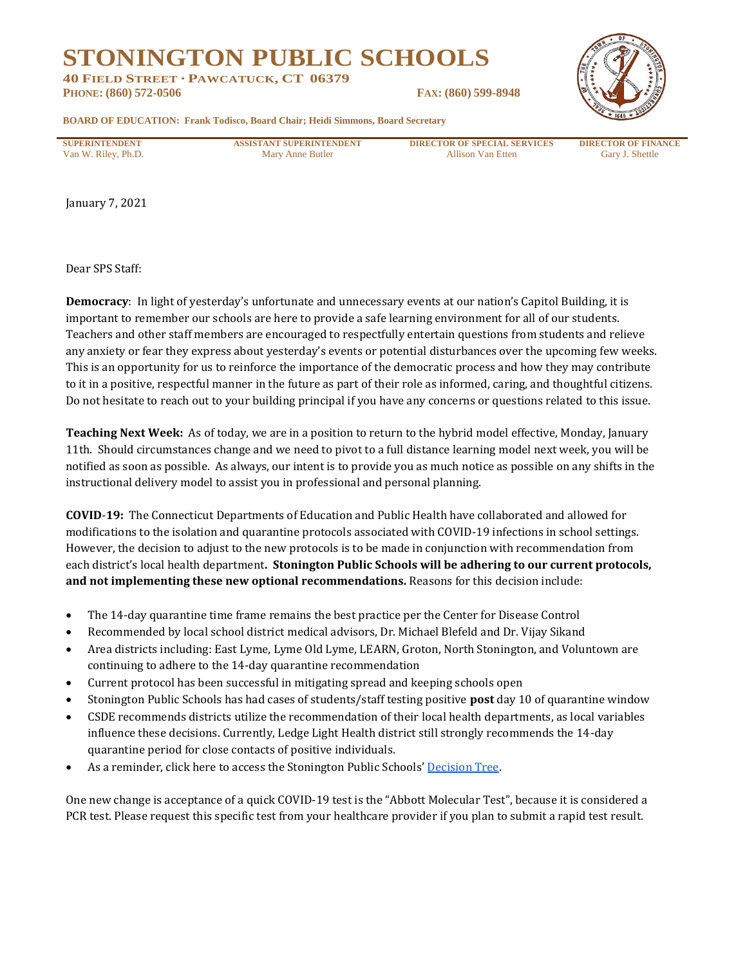## **STONINGTON PUBLIC SCHOOLS**

**40 FIELD STREET · PAWCATUCK, CT 06379 PHONE: (860) 572-0506 FAX: (860) 599-8948**



**BOARD OF EDUCATION: Frank Todisco, Board Chair; Heidi Simmons, Board Secretary**

**SUPERINTENDENT ASSISTANT SUPERINTENDENT DIRECTOR OF SPECIAL SERVICES DIRECTOR OF FINANCE** Van W. Riley, Ph.D. **Mary Anne Butler** Allison Van Etten Gary J. Shettle

January 7, 2021

Dear SPS Staff:

**Democracy**: In light of yesterday's unfortunate and unnecessary events at our nation's Capitol Building, it is important to remember our schools are here to provide a safe learning environment for all of our students. Teachers and other staff members are encouraged to respectfully entertain questions from students and relieve any anxiety or fear they express about yesterday's events or potential disturbances over the upcoming few weeks. This is an opportunity for us to reinforce the importance of the democratic process and how they may contribute to it in a positive, respectful manner in the future as part of their role as informed, caring, and thoughtful citizens. Do not hesitate to reach out to your building principal if you have any concerns or questions related to this issue.

**Teaching Next Week:** As of today, we are in a position to return to the hybrid model effective, Monday, January 11th. Should circumstances change and we need to pivot to a full distance learning model next week, you will be notified as soon as possible. As always, our intent is to provide you as much notice as possible on any shifts in the instructional delivery model to assist you in professional and personal planning.

**COVID**-**19:** The Connecticut Departments of Education and Public Health have collaborated and allowed for modifications to the isolation and quarantine protocols associated with COVID-19 infections in school settings. However, the decision to adjust to the new protocols is to be made in conjunction with recommendation from each district's local health department**. Stonington Public Schools will be adhering to our current protocols, and not implementing these new optional recommendations.** Reasons for this decision include:

- The 14-day quarantine time frame remains the best practice per the Center for Disease Control
- Recommended by local school district medical advisors, Dr. Michael Blefeld and Dr. Vijay Sikand
- Area districts including: East Lyme, Lyme Old Lyme, LEARN, Groton, North Stonington, and Voluntown are continuing to adhere to the 14-day quarantine recommendation
- Current protocol has been successful in mitigating spread and keeping schools open
- Stonington Public Schools has had cases of students/staff testing positive **post** day 10 of quarantine window
- CSDE recommends districts utilize the recommendation of their local health departments, as local variables influence these decisions. Currently, Ledge Light Health district still strongly recommends the 14-day quarantine period for close contacts of positive individuals.
- As a reminder, click here to access the Stonington Public Schools' [Decision Tree.](https://resources.finalsite.net/images/v1600688092/stonington/vqlner95ml8w3djozi7m/covid19schoolsdecisiontreeaddendum5.pdf)

One new change is acceptance of a quick COVID-19 test is the "Abbott Molecular Test", because it is considered a PCR test. Please request this specific test from your healthcare provider if you plan to submit a rapid test result.